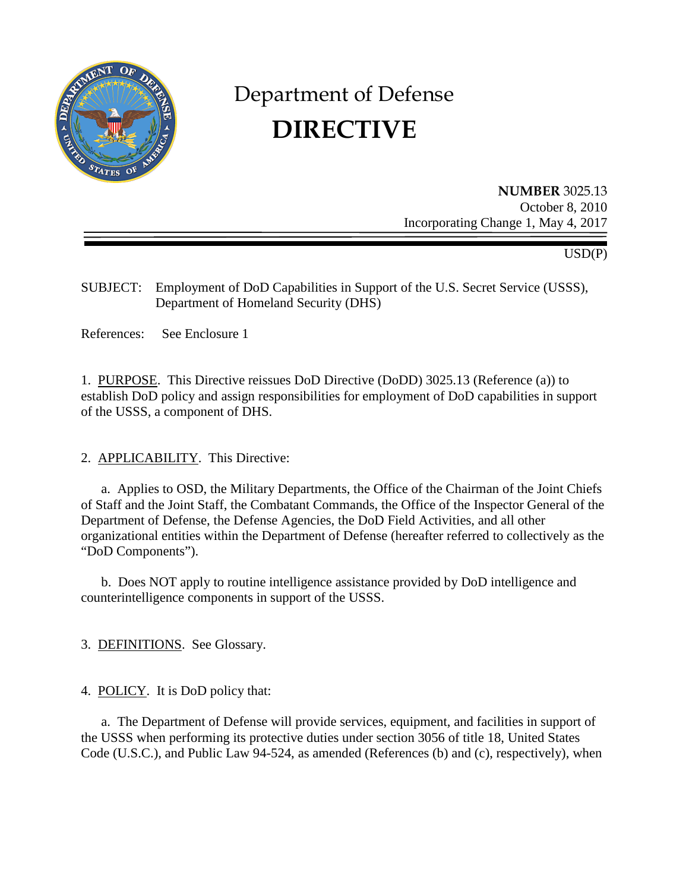

# Department of Defense **DIRECTIVE**

**NUMBER** 3025.13 October 8, 2010 Incorporating Change 1, May 4, 2017

USD(P)

SUBJECT: Employment of DoD Capabilities in Support of the U.S. Secret Service (USSS), Department of Homeland Security (DHS)

References: See Enclosure 1

1. PURPOSE. This Directive reissues DoD Directive (DoDD) 3025.13 (Reference (a)) to establish DoD policy and assign responsibilities for employment of DoD capabilities in support of the USSS, a component of DHS.

2. APPLICABILITY. This Directive:

a. Applies to OSD, the Military Departments, the Office of the Chairman of the Joint Chiefs of Staff and the Joint Staff, the Combatant Commands, the Office of the Inspector General of the Department of Defense, the Defense Agencies, the DoD Field Activities, and all other organizational entities within the Department of Defense (hereafter referred to collectively as the "DoD Components").

 b. Does NOT apply to routine intelligence assistance provided by DoD intelligence and counterintelligence components in support of the USSS.

3. DEFINITIONS. See Glossary.

4. POLICY. It is DoD policy that:

 a. The Department of Defense will provide services, equipment, and facilities in support of the USSS when performing its protective duties under section 3056 of title 18, United States Code (U.S.C.), and Public Law 94-524, as amended (References (b) and (c), respectively), when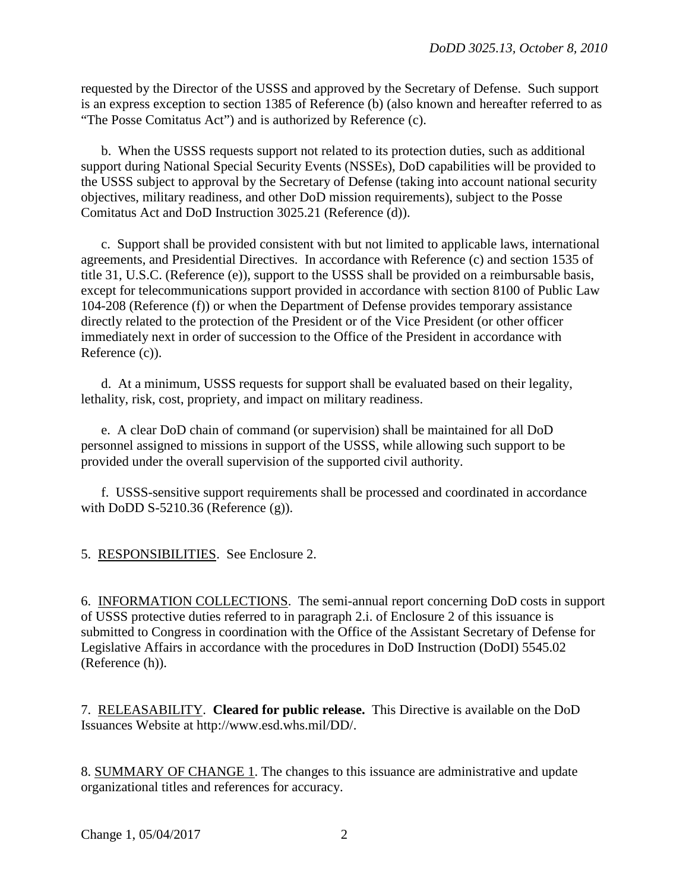requested by the Director of the USSS and approved by the Secretary of Defense. Such support is an express exception to section 1385 of Reference (b) (also known and hereafter referred to as "The Posse Comitatus Act") and is authorized by Reference (c).

b. When the USSS requests support not related to its protection duties, such as additional support during National Special Security Events (NSSEs), DoD capabilities will be provided to the USSS subject to approval by the Secretary of Defense (taking into account national security objectives, military readiness, and other DoD mission requirements), subject to the Posse Comitatus Act and DoD Instruction 3025.21 (Reference (d)).

c. Support shall be provided consistent with but not limited to applicable laws, international agreements, and Presidential Directives. In accordance with Reference (c) and section 1535 of title 31, U.S.C. (Reference (e)), support to the USSS shall be provided on a reimbursable basis, except for telecommunications support provided in accordance with section 8100 of Public Law 104-208 (Reference (f)) or when the Department of Defense provides temporary assistance directly related to the protection of the President or of the Vice President (or other officer immediately next in order of succession to the Office of the President in accordance with Reference (c)).

d. At a minimum, USSS requests for support shall be evaluated based on their legality, lethality, risk, cost, propriety, and impact on military readiness.

e. A clear DoD chain of command (or supervision) shall be maintained for all DoD personnel assigned to missions in support of the USSS, while allowing such support to be provided under the overall supervision of the supported civil authority.

f. USSS-sensitive support requirements shall be processed and coordinated in accordance with DoDD S-5210.36 (Reference  $(g)$ ).

5. RESPONSIBILITIES. See Enclosure 2.

6. INFORMATION COLLECTIONS. The semi-annual report concerning DoD costs in support of USSS protective duties referred to in paragraph 2.i. of Enclosure 2 of this issuance is submitted to Congress in coordination with the Office of the Assistant Secretary of Defense for Legislative Affairs in accordance with the procedures in DoD Instruction (DoDI) 5545.02 (Reference (h)).

7. RELEASABILITY. **Cleared for public release.** This Directive is available on the DoD Issuances Website at http://www.esd.whs.mil/DD/.

8. SUMMARY OF CHANGE 1. The changes to this issuance are administrative and update organizational titles and references for accuracy.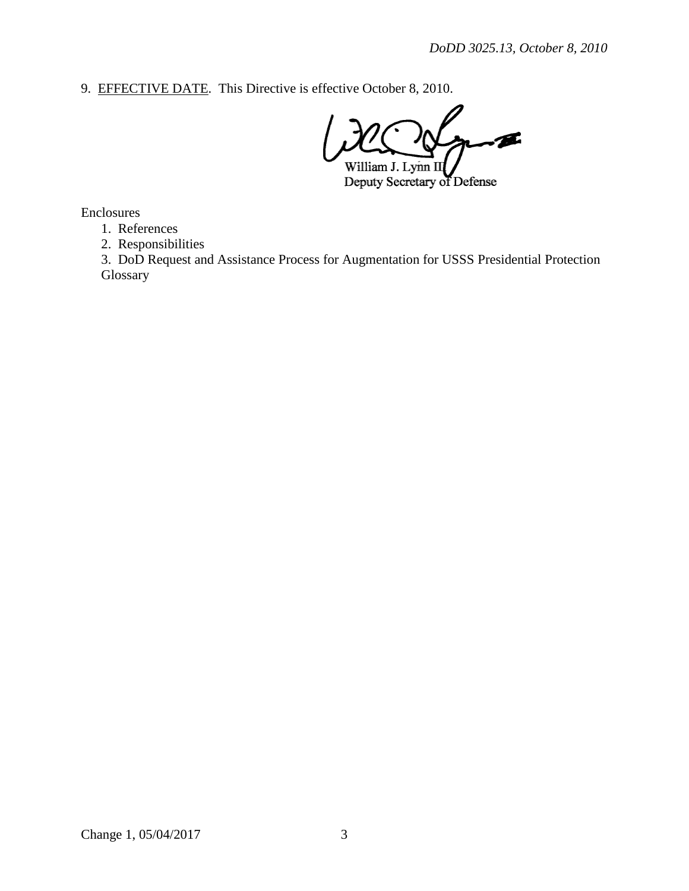9. EFFECTIVE DATE. This Directive is effective October 8, 2010.

Æ. William J. Lynn II

Deputy Secretary of Defense

Enclosures

1. References

2. Responsibilities

3. DoD Request and Assistance Process for Augmentation for USSS Presidential Protection Glossary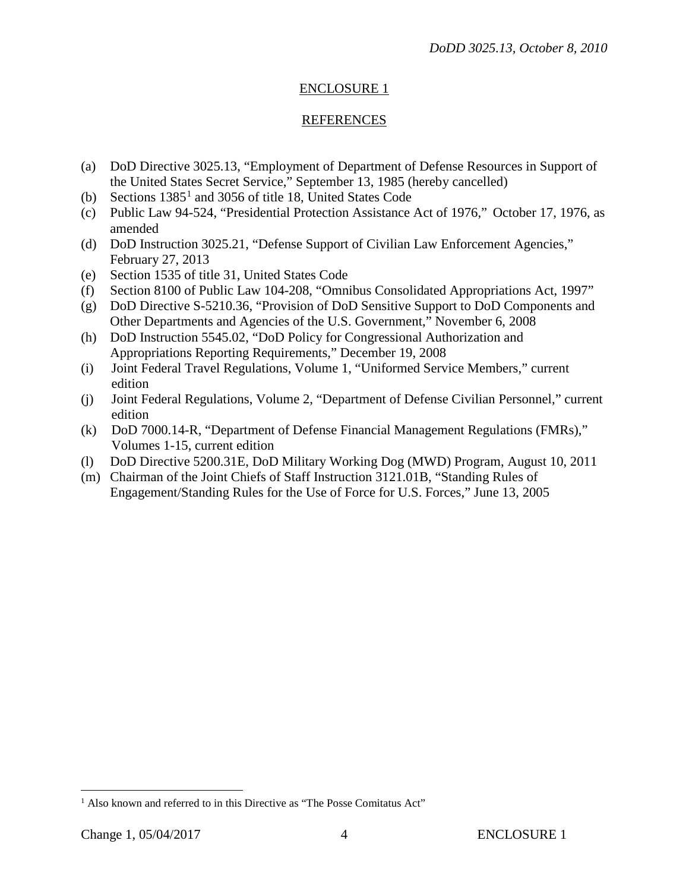# ENCLOSURE 1

### REFERENCES

- (a) DoD Directive 3025.13, "Employment of Department of Defense Resources in Support of the United States Secret Service," September 13, 1985 (hereby cancelled)
- (b) Sections  $1385<sup>1</sup>$  $1385<sup>1</sup>$  and 3056 of title 18, United States Code
- (c) Public Law 94-524, "Presidential Protection Assistance Act of 1976," October 17, 1976, as amended
- (d) DoD Instruction 3025.21, "Defense Support of Civilian Law Enforcement Agencies," February 27, 2013
- (e) Section 1535 of title 31, United States Code
- (f) Section 8100 of Public Law 104-208, "Omnibus Consolidated Appropriations Act, 1997"
- (g) DoD Directive S-5210.36, "Provision of DoD Sensitive Support to DoD Components and Other Departments and Agencies of the U.S. Government," November 6, 2008
- (h) DoD Instruction 5545.02, "DoD Policy for Congressional Authorization and Appropriations Reporting Requirements," December 19, 2008
- (i) Joint Federal Travel Regulations, Volume 1, "Uniformed Service Members," current edition
- (j) Joint Federal Regulations, Volume 2, "Department of Defense Civilian Personnel," current edition
- (k) DoD 7000.14-R, "Department of Defense Financial Management Regulations (FMRs)," Volumes 1-15, current edition
- (l) DoD Directive 5200.31E, DoD Military Working Dog (MWD) Program, August 10, 2011
- (m) Chairman of the Joint Chiefs of Staff Instruction 3121.01B, "Standing Rules of Engagement/Standing Rules for the Use of Force for U.S. Forces," June 13, 2005

<span id="page-3-0"></span><sup>&</sup>lt;sup>1</sup> Also known and referred to in this Directive as "The Posse Comitatus Act"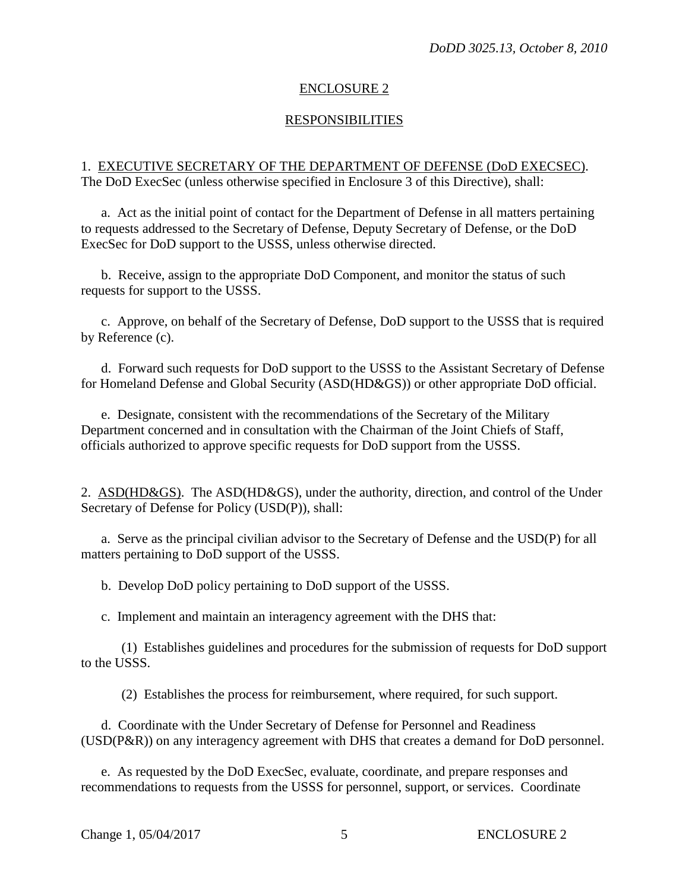#### ENCLOSURE 2

#### RESPONSIBILITIES

#### 1. EXECUTIVE SECRETARY OF THE DEPARTMENT OF DEFENSE (DoD EXECSEC). The DoD ExecSec (unless otherwise specified in Enclosure 3 of this Directive), shall:

a. Act as the initial point of contact for the Department of Defense in all matters pertaining to requests addressed to the Secretary of Defense, Deputy Secretary of Defense, or the DoD ExecSec for DoD support to the USSS, unless otherwise directed.

b. Receive, assign to the appropriate DoD Component, and monitor the status of such requests for support to the USSS.

c. Approve, on behalf of the Secretary of Defense, DoD support to the USSS that is required by Reference (c).

d. Forward such requests for DoD support to the USSS to the Assistant Secretary of Defense for Homeland Defense and Global Security (ASD(HD&GS)) or other appropriate DoD official.

e. Designate, consistent with the recommendations of the Secretary of the Military Department concerned and in consultation with the Chairman of the Joint Chiefs of Staff, officials authorized to approve specific requests for DoD support from the USSS.

2. ASD(HD&GS). The ASD(HD&GS), under the authority, direction, and control of the Under Secretary of Defense for Policy (USD(P)), shall:

a. Serve as the principal civilian advisor to the Secretary of Defense and the USD(P) for all matters pertaining to DoD support of the USSS.

b. Develop DoD policy pertaining to DoD support of the USSS.

c. Implement and maintain an interagency agreement with the DHS that:

(1) Establishes guidelines and procedures for the submission of requests for DoD support to the USSS.

(2) Establishes the process for reimbursement, where required, for such support.

d. Coordinate with the Under Secretary of Defense for Personnel and Readiness (USD(P&R)) on any interagency agreement with DHS that creates a demand for DoD personnel.

e. As requested by the DoD ExecSec, evaluate, coordinate, and prepare responses and recommendations to requests from the USSS for personnel, support, or services. Coordinate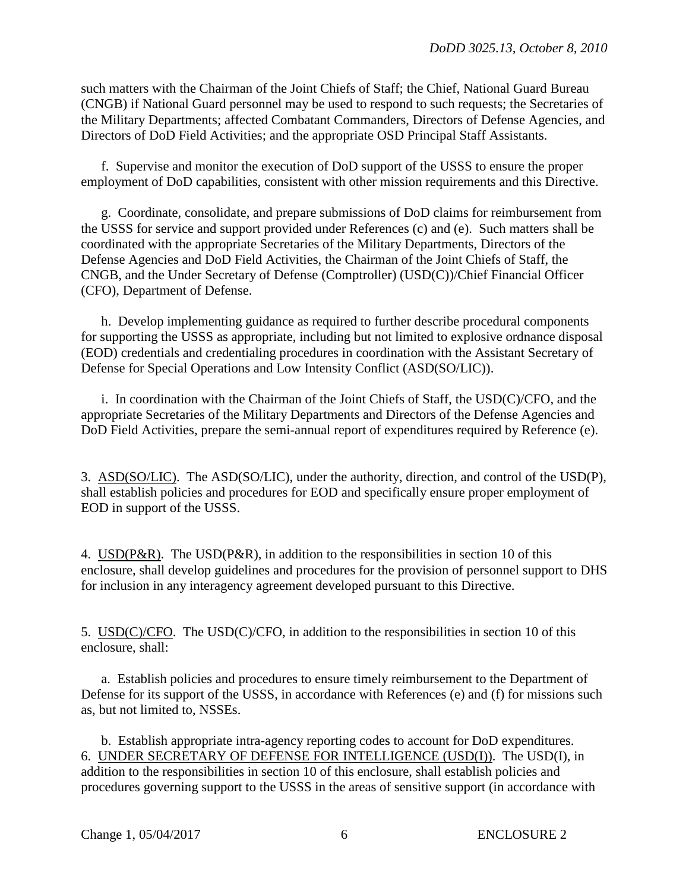such matters with the Chairman of the Joint Chiefs of Staff; the Chief, National Guard Bureau (CNGB) if National Guard personnel may be used to respond to such requests; the Secretaries of the Military Departments; affected Combatant Commanders, Directors of Defense Agencies, and Directors of DoD Field Activities; and the appropriate OSD Principal Staff Assistants.

f. Supervise and monitor the execution of DoD support of the USSS to ensure the proper employment of DoD capabilities, consistent with other mission requirements and this Directive.

g. Coordinate, consolidate, and prepare submissions of DoD claims for reimbursement from the USSS for service and support provided under References (c) and (e). Such matters shall be coordinated with the appropriate Secretaries of the Military Departments, Directors of the Defense Agencies and DoD Field Activities, the Chairman of the Joint Chiefs of Staff, the CNGB, and the Under Secretary of Defense (Comptroller) (USD(C))/Chief Financial Officer (CFO), Department of Defense.

h. Develop implementing guidance as required to further describe procedural components for supporting the USSS as appropriate, including but not limited to explosive ordnance disposal (EOD) credentials and credentialing procedures in coordination with the Assistant Secretary of Defense for Special Operations and Low Intensity Conflict (ASD(SO/LIC)).

i. In coordination with the Chairman of the Joint Chiefs of Staff, the USD(C)/CFO, and the appropriate Secretaries of the Military Departments and Directors of the Defense Agencies and DoD Field Activities, prepare the semi-annual report of expenditures required by Reference (e).

3. ASD(SO/LIC). The ASD(SO/LIC), under the authority, direction, and control of the USD(P), shall establish policies and procedures for EOD and specifically ensure proper employment of EOD in support of the USSS.

4. USD(P&R). The USD(P&R), in addition to the responsibilities in section 10 of this enclosure, shall develop guidelines and procedures for the provision of personnel support to DHS for inclusion in any interagency agreement developed pursuant to this Directive.

5. USD(C)/CFO. The USD(C)/CFO, in addition to the responsibilities in section 10 of this enclosure, shall:

a. Establish policies and procedures to ensure timely reimbursement to the Department of Defense for its support of the USSS, in accordance with References (e) and (f) for missions such as, but not limited to, NSSEs.

b. Establish appropriate intra-agency reporting codes to account for DoD expenditures. 6. UNDER SECRETARY OF DEFENSE FOR INTELLIGENCE (USD(I)). The USD(I), in addition to the responsibilities in section 10 of this enclosure, shall establish policies and procedures governing support to the USSS in the areas of sensitive support (in accordance with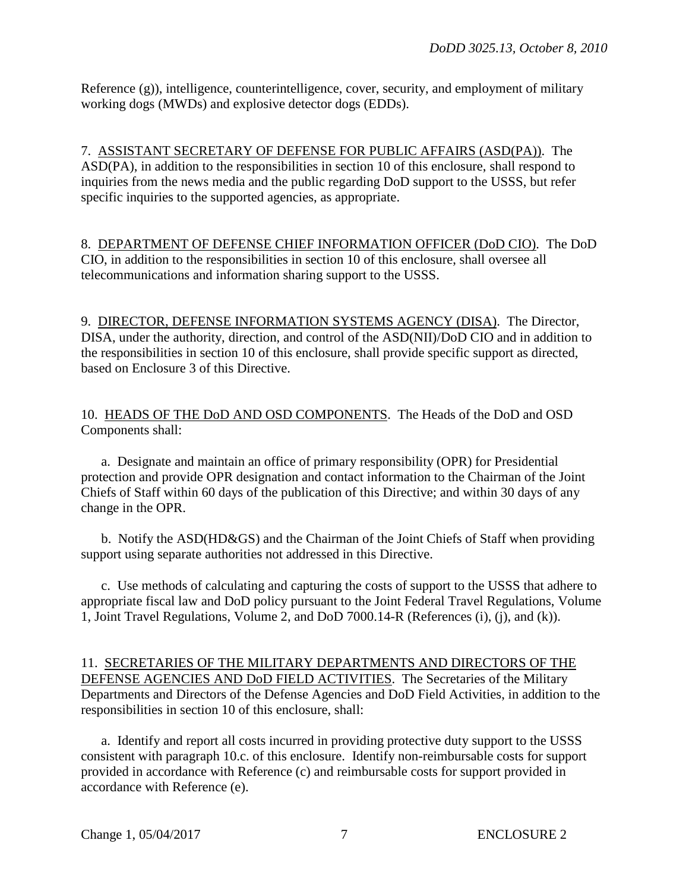Reference (g)), intelligence, counterintelligence, cover, security, and employment of military working dogs (MWDs) and explosive detector dogs (EDDs).

7. ASSISTANT SECRETARY OF DEFENSE FOR PUBLIC AFFAIRS (ASD(PA)). The ASD(PA), in addition to the responsibilities in section 10 of this enclosure, shall respond to inquiries from the news media and the public regarding DoD support to the USSS, but refer specific inquiries to the supported agencies, as appropriate.

8. DEPARTMENT OF DEFENSE CHIEF INFORMATION OFFICER (DoD CIO). The DoD CIO, in addition to the responsibilities in section 10 of this enclosure, shall oversee all telecommunications and information sharing support to the USSS.

9. DIRECTOR, DEFENSE INFORMATION SYSTEMS AGENCY (DISA). The Director, DISA, under the authority, direction, and control of the ASD(NII)/DoD CIO and in addition to the responsibilities in section 10 of this enclosure, shall provide specific support as directed, based on Enclosure 3 of this Directive.

10. HEADS OF THE DoD AND OSD COMPONENTS. The Heads of the DoD and OSD Components shall:

a. Designate and maintain an office of primary responsibility (OPR) for Presidential protection and provide OPR designation and contact information to the Chairman of the Joint Chiefs of Staff within 60 days of the publication of this Directive; and within 30 days of any change in the OPR.

b. Notify the ASD(HD&GS) and the Chairman of the Joint Chiefs of Staff when providing support using separate authorities not addressed in this Directive.

c. Use methods of calculating and capturing the costs of support to the USSS that adhere to appropriate fiscal law and DoD policy pursuant to the Joint Federal Travel Regulations, Volume 1, Joint Travel Regulations, Volume 2, and DoD 7000.14-R (References (i), (j), and (k)).

11. SECRETARIES OF THE MILITARY DEPARTMENTS AND DIRECTORS OF THE DEFENSE AGENCIES AND DoD FIELD ACTIVITIES. The Secretaries of the Military Departments and Directors of the Defense Agencies and DoD Field Activities, in addition to the responsibilities in section 10 of this enclosure, shall:

a. Identify and report all costs incurred in providing protective duty support to the USSS consistent with paragraph 10.c. of this enclosure. Identify non-reimbursable costs for support provided in accordance with Reference (c) and reimbursable costs for support provided in accordance with Reference (e).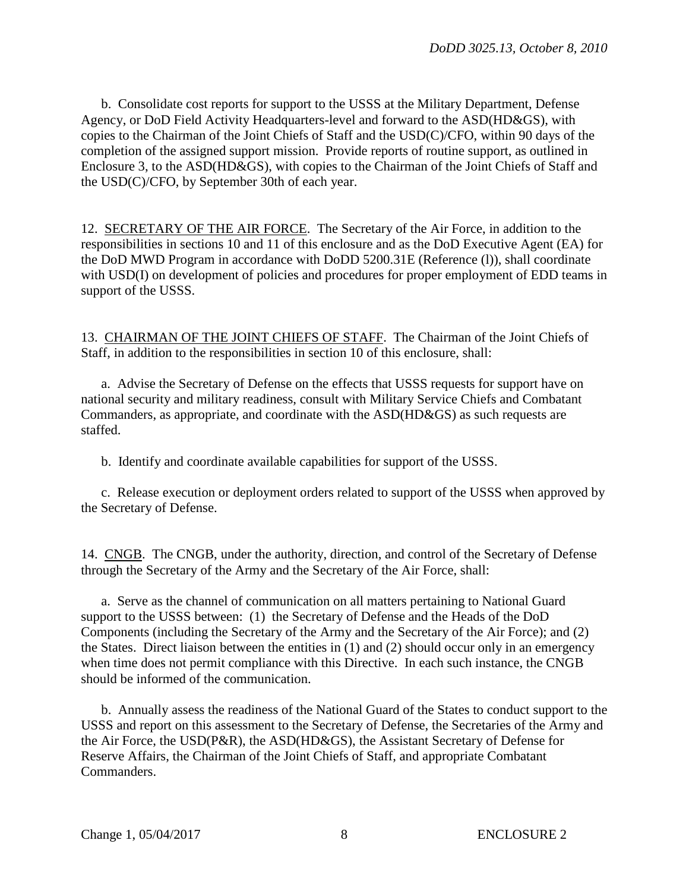b. Consolidate cost reports for support to the USSS at the Military Department, Defense Agency, or DoD Field Activity Headquarters-level and forward to the ASD(HD&GS), with copies to the Chairman of the Joint Chiefs of Staff and the USD(C)/CFO, within 90 days of the completion of the assigned support mission. Provide reports of routine support, as outlined in Enclosure 3, to the ASD(HD&GS), with copies to the Chairman of the Joint Chiefs of Staff and the USD(C)/CFO, by September 30th of each year.

12. SECRETARY OF THE AIR FORCE. The Secretary of the Air Force, in addition to the responsibilities in sections 10 and 11 of this enclosure and as the DoD Executive Agent (EA) for the DoD MWD Program in accordance with DoDD 5200.31E (Reference (l)), shall coordinate with USD(I) on development of policies and procedures for proper employment of EDD teams in support of the USSS.

13. CHAIRMAN OF THE JOINT CHIEFS OF STAFF. The Chairman of the Joint Chiefs of Staff, in addition to the responsibilities in section 10 of this enclosure, shall:

a. Advise the Secretary of Defense on the effects that USSS requests for support have on national security and military readiness, consult with Military Service Chiefs and Combatant Commanders, as appropriate, and coordinate with the ASD(HD&GS) as such requests are staffed.

b. Identify and coordinate available capabilities for support of the USSS.

c. Release execution or deployment orders related to support of the USSS when approved by the Secretary of Defense.

14. CNGB. The CNGB, under the authority, direction, and control of the Secretary of Defense through the Secretary of the Army and the Secretary of the Air Force, shall:

a. Serve as the channel of communication on all matters pertaining to National Guard support to the USSS between: (1) the Secretary of Defense and the Heads of the DoD Components (including the Secretary of the Army and the Secretary of the Air Force); and (2) the States. Direct liaison between the entities in (1) and (2) should occur only in an emergency when time does not permit compliance with this Directive. In each such instance, the CNGB should be informed of the communication.

b. Annually assess the readiness of the National Guard of the States to conduct support to the USSS and report on this assessment to the Secretary of Defense, the Secretaries of the Army and the Air Force, the USD(P&R), the ASD(HD&GS), the Assistant Secretary of Defense for Reserve Affairs, the Chairman of the Joint Chiefs of Staff, and appropriate Combatant Commanders.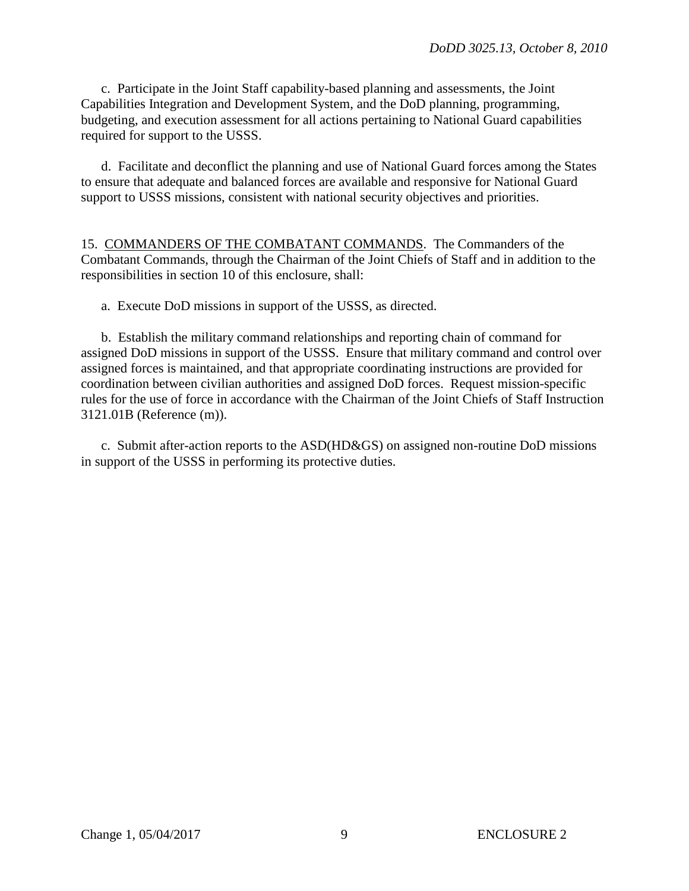c. Participate in the Joint Staff capability-based planning and assessments, the Joint Capabilities Integration and Development System, and the DoD planning, programming, budgeting, and execution assessment for all actions pertaining to National Guard capabilities required for support to the USSS.

d. Facilitate and deconflict the planning and use of National Guard forces among the States to ensure that adequate and balanced forces are available and responsive for National Guard support to USSS missions, consistent with national security objectives and priorities.

15. COMMANDERS OF THE COMBATANT COMMANDS. The Commanders of the Combatant Commands, through the Chairman of the Joint Chiefs of Staff and in addition to the responsibilities in section 10 of this enclosure, shall:

a. Execute DoD missions in support of the USSS, as directed.

b. Establish the military command relationships and reporting chain of command for assigned DoD missions in support of the USSS. Ensure that military command and control over assigned forces is maintained, and that appropriate coordinating instructions are provided for coordination between civilian authorities and assigned DoD forces. Request mission-specific rules for the use of force in accordance with the Chairman of the Joint Chiefs of Staff Instruction 3121.01B (Reference (m)).

c. Submit after-action reports to the ASD(HD&GS) on assigned non-routine DoD missions in support of the USSS in performing its protective duties.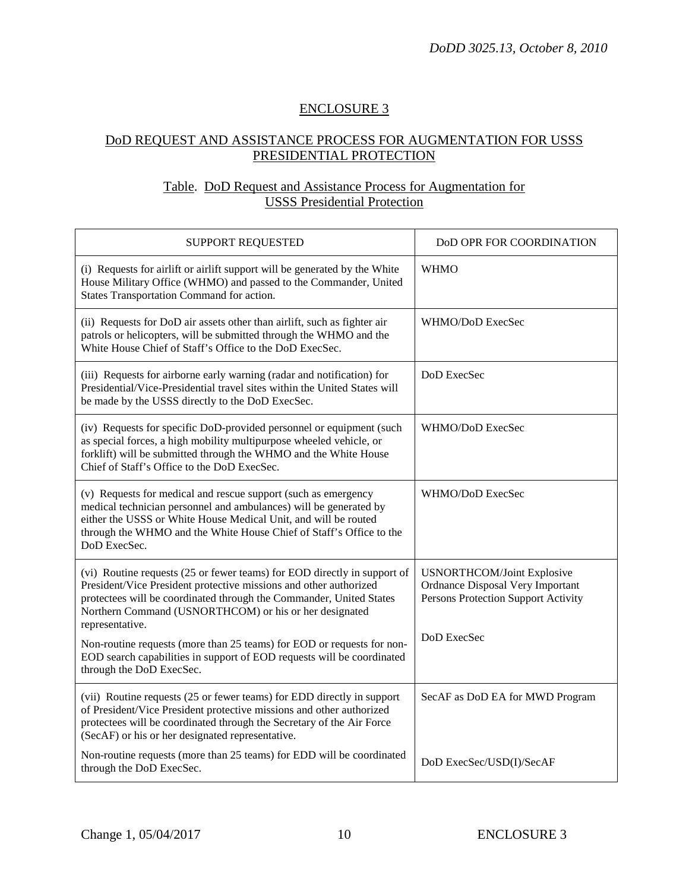# ENCLOSURE 3

## DoD REQUEST AND ASSISTANCE PROCESS FOR AUGMENTATION FOR USSS PRESIDENTIAL PROTECTION

# Table. DoD Request and Assistance Process for Augmentation for USSS Presidential Protection

| SUPPORT REQUESTED                                                                                                                                                                                                                                                                                 | DoD OPR FOR COORDINATION                                                                                     |
|---------------------------------------------------------------------------------------------------------------------------------------------------------------------------------------------------------------------------------------------------------------------------------------------------|--------------------------------------------------------------------------------------------------------------|
| (i) Requests for airlift or airlift support will be generated by the White<br>House Military Office (WHMO) and passed to the Commander, United<br>States Transportation Command for action.                                                                                                       | <b>WHMO</b>                                                                                                  |
| (ii) Requests for DoD air assets other than airlift, such as fighter air<br>patrols or helicopters, will be submitted through the WHMO and the<br>White House Chief of Staff's Office to the DoD ExecSec.                                                                                         | WHMO/DoD ExecSec                                                                                             |
| (iii) Requests for airborne early warning (radar and notification) for<br>Presidential/Vice-Presidential travel sites within the United States will<br>be made by the USSS directly to the DoD ExecSec.                                                                                           | DoD ExecSec                                                                                                  |
| (iv) Requests for specific DoD-provided personnel or equipment (such<br>as special forces, a high mobility multipurpose wheeled vehicle, or<br>forklift) will be submitted through the WHMO and the White House<br>Chief of Staff's Office to the DoD ExecSec.                                    | WHMO/DoD ExecSec                                                                                             |
| (v) Requests for medical and rescue support (such as emergency<br>medical technician personnel and ambulances) will be generated by<br>either the USSS or White House Medical Unit, and will be routed<br>through the WHMO and the White House Chief of Staff's Office to the<br>DoD ExecSec.     | WHMO/DoD ExecSec                                                                                             |
| (vi) Routine requests (25 or fewer teams) for EOD directly in support of<br>President/Vice President protective missions and other authorized<br>protectees will be coordinated through the Commander, United States<br>Northern Command (USNORTHCOM) or his or her designated<br>representative. | <b>USNORTHCOM/Joint Explosive</b><br>Ordnance Disposal Very Important<br>Persons Protection Support Activity |
| Non-routine requests (more than 25 teams) for EOD or requests for non-<br>EOD search capabilities in support of EOD requests will be coordinated<br>through the DoD ExecSec.                                                                                                                      | DoD ExecSec                                                                                                  |
| (vii) Routine requests (25 or fewer teams) for EDD directly in support<br>of President/Vice President protective missions and other authorized<br>protectees will be coordinated through the Secretary of the Air Force<br>(SecAF) or his or her designated representative.                       | SecAF as DoD EA for MWD Program                                                                              |
| Non-routine requests (more than 25 teams) for EDD will be coordinated<br>through the DoD ExecSec.                                                                                                                                                                                                 | DoD ExecSec/USD(I)/SecAF                                                                                     |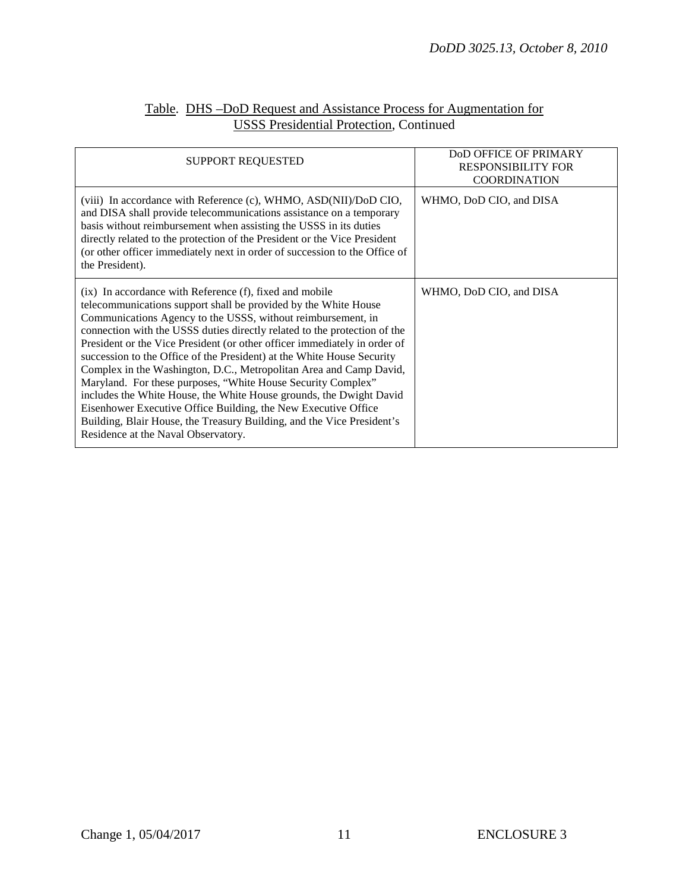| SUPPORT REQUESTED                                                                                                                                                                                                                                                                                                                                                                                                                                                                                                                                                                                                                                                                                                                                                                                                              | <b>DOD OFFICE OF PRIMARY</b><br><b>RESPONSIBILITY FOR</b><br><b>COORDINATION</b> |
|--------------------------------------------------------------------------------------------------------------------------------------------------------------------------------------------------------------------------------------------------------------------------------------------------------------------------------------------------------------------------------------------------------------------------------------------------------------------------------------------------------------------------------------------------------------------------------------------------------------------------------------------------------------------------------------------------------------------------------------------------------------------------------------------------------------------------------|----------------------------------------------------------------------------------|
| (viii) In accordance with Reference (c), WHMO, ASD(NII)/DoD CIO,<br>and DISA shall provide telecommunications assistance on a temporary<br>basis without reimbursement when assisting the USSS in its duties<br>directly related to the protection of the President or the Vice President<br>(or other officer immediately next in order of succession to the Office of<br>the President).                                                                                                                                                                                                                                                                                                                                                                                                                                     | WHMO, DoD CIO, and DISA                                                          |
| (ix) In accordance with Reference (f), fixed and mobile<br>telecommunications support shall be provided by the White House<br>Communications Agency to the USSS, without reimbursement, in<br>connection with the USSS duties directly related to the protection of the<br>President or the Vice President (or other officer immediately in order of<br>succession to the Office of the President) at the White House Security<br>Complex in the Washington, D.C., Metropolitan Area and Camp David,<br>Maryland. For these purposes, "White House Security Complex"<br>includes the White House, the White House grounds, the Dwight David<br>Eisenhower Executive Office Building, the New Executive Office<br>Building, Blair House, the Treasury Building, and the Vice President's<br>Residence at the Naval Observatory. | WHMO, DoD CIO, and DISA                                                          |

## Table. DHS –DoD Request and Assistance Process for Augmentation for USSS Presidential Protection, Continued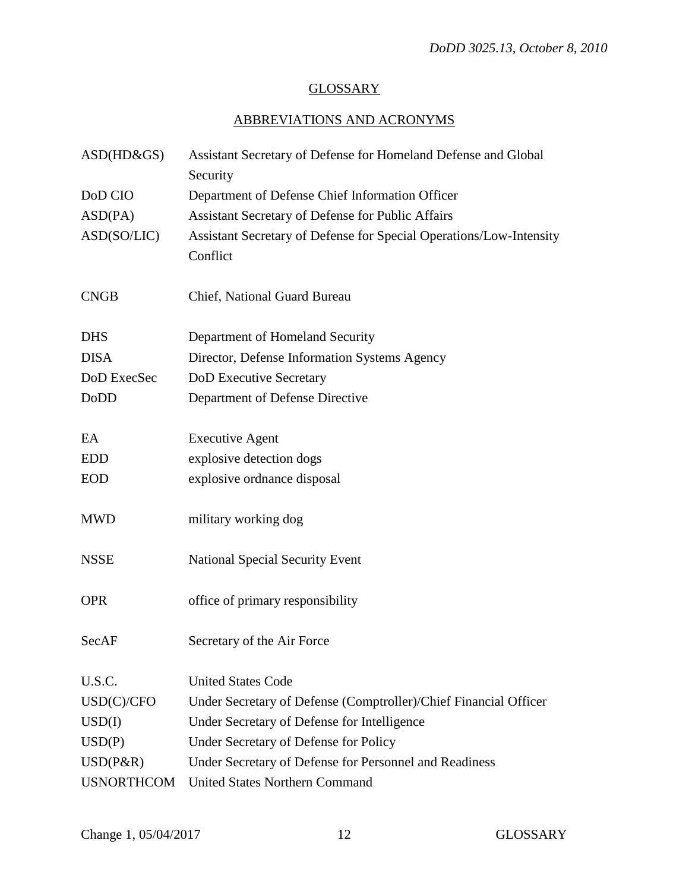# **GLOSSARY**

# ABBREVIATIONS AND ACRONYMS

| $ASD(HD\&GS)$     | Assistant Secretary of Defense for Homeland Defense and Global<br>Security      |  |
|-------------------|---------------------------------------------------------------------------------|--|
| DoD CIO           | Department of Defense Chief Information Officer                                 |  |
| ASD(PA)           | Assistant Secretary of Defense for Public Affairs                               |  |
| ASD(SO/LIC)       | Assistant Secretary of Defense for Special Operations/Low-Intensity<br>Conflict |  |
| <b>CNGB</b>       | Chief, National Guard Bureau                                                    |  |
| <b>DHS</b>        | Department of Homeland Security                                                 |  |
| <b>DISA</b>       | Director, Defense Information Systems Agency                                    |  |
| DoD ExecSec       | DoD Executive Secretary                                                         |  |
| DoDD              | Department of Defense Directive                                                 |  |
| EA                | <b>Executive Agent</b>                                                          |  |
| <b>EDD</b>        | explosive detection dogs                                                        |  |
| <b>EOD</b>        | explosive ordnance disposal                                                     |  |
| <b>MWD</b>        | military working dog                                                            |  |
| <b>NSSE</b>       | <b>National Special Security Event</b>                                          |  |
| <b>OPR</b>        | office of primary responsibility                                                |  |
| SecAF             | Secretary of the Air Force                                                      |  |
| U.S.C.            | <b>United States Code</b>                                                       |  |
| USD(C)/CFO        | Under Secretary of Defense (Comptroller)/Chief Financial Officer                |  |
| USD(I)            | Under Secretary of Defense for Intelligence                                     |  |
| USD(P)            | Under Secretary of Defense for Policy                                           |  |
| $USD(P\&R)$       | Under Secretary of Defense for Personnel and Readiness                          |  |
| <b>USNORTHCOM</b> | <b>United States Northern Command</b>                                           |  |